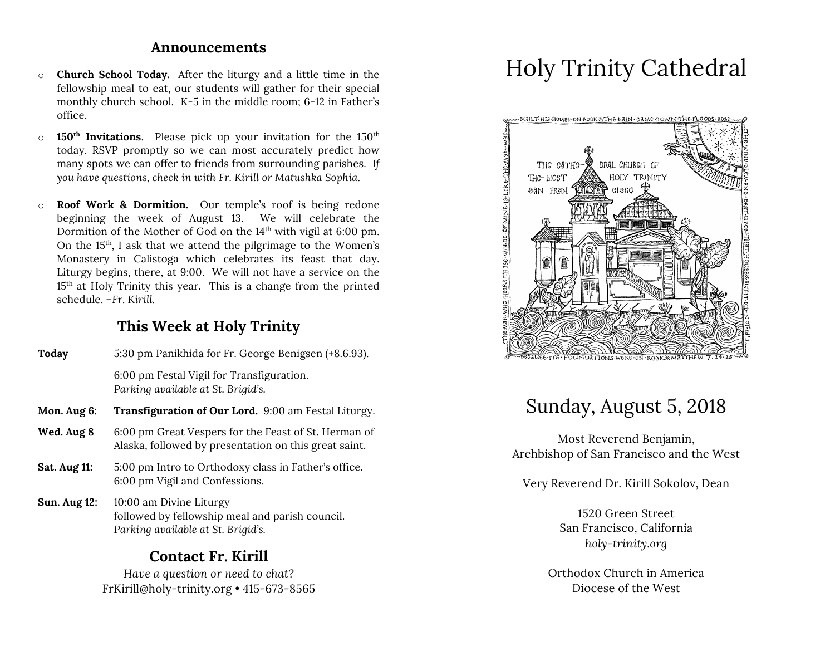### **Announcements**

- o **Church School Today.** After the liturgy and a little time in the fellowship meal to eat, our students will gather for their special monthly church school. K-5 in the middle room; 6-12 in Father's office.
- o **150th Invitations**. Please pick up your invitation for the 150th today. RSVP promptly so we can most accurately predict how many spots we can offer to friends from surrounding parishes. *If you have questions, check in with Fr. Kirill or Matushka Sophia*.
- o **Roof Work & Dormition.** Our temple's roof is being redone beginning the week of August 13. We will celebrate the Dormition of the Mother of God on the 14<sup>th</sup> with vigil at 6:00 pm. On the  $15<sup>th</sup>$ , I ask that we attend the pilgrimage to the Women's Monastery in Calistoga which celebrates its feast that day. Liturgy begins, there, at 9:00. We will not have a service on the 15th at Holy Trinity this year. This is a change from the printed schedule. *–Fr. Kirill.*

# **This Week at Holy Trinity**

| Today              | 5:30 pm Panikhida for Fr. George Benigsen (+8.6.93).                            |
|--------------------|---------------------------------------------------------------------------------|
|                    | 6:00 pm Festal Vigil for Transfiguration.<br>Parking available at St. Brigid's. |
| Mon. Aug 6:        | <b>Transfiguration of Our Lord.</b> 9:00 am Festal Liturgy.                     |
| $TAT = 1$ $A = -0$ | $0.00 \text{ mm}$ Creat Versace for the Feast of Ct. House on of                |

- **Wed. Aug 8** 6:00 pm Great Vespers for the Feast of St. Herman of Alaska, followed by presentation on this great saint.
- **Sat. Aug 11:** 5:00 pm Intro to Orthodoxy class in Father's office. 6:00 pm Vigil and Confessions.
- **Sun. Aug 12:** 10:00 am Divine Liturgy followed by fellowship meal and parish council. *Parking available at St. Brigid's.*

## **Contact Fr. Kirill**

*Have a question or need to chat?* FrKirill@holy-trinity.org • 415-673-8565

# Holy Trinity Cathedral



# Sunday, August 5, 2018

Most Reverend Benjamin, Archbishop of San Francisco and the West

Very Reverend Dr. Kirill Sokolov, Dean

1520 Green Street San Francisco, California *holy-trinity.org*

Orthodox Church in America Diocese of the West